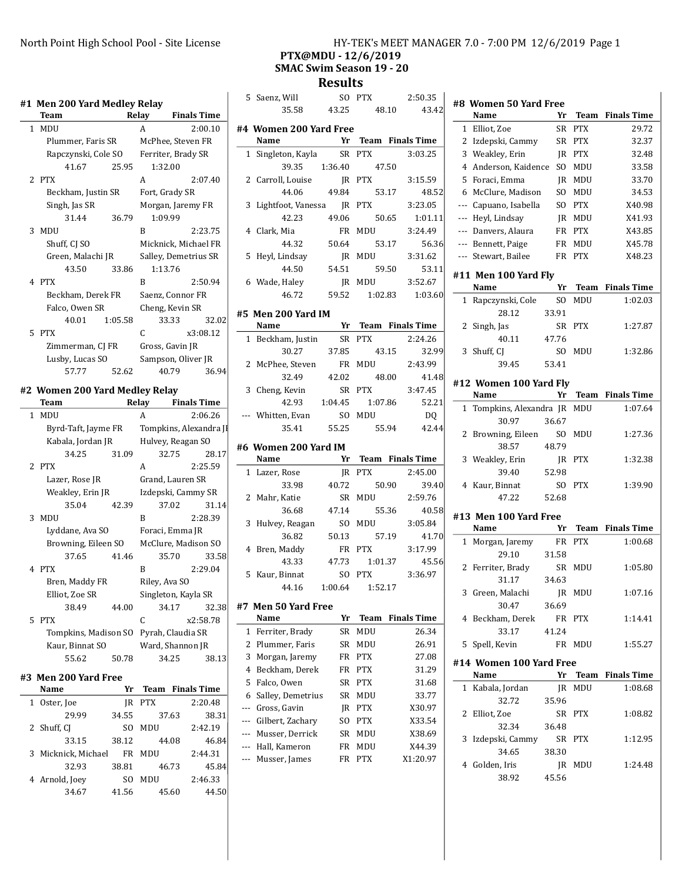### #1 Men 200 Yard Medley Relay

|              |             |                     | #1 Men 200 Yard Medley Relay |       |                    |                      |
|--------------|-------------|---------------------|------------------------------|-------|--------------------|----------------------|
|              | <b>Team</b> |                     |                              | Relay |                    | <b>Finals Time</b>   |
| $\mathbf{1}$ | <b>MDU</b>  |                     |                              | A     |                    | 2:00.10              |
|              |             | Plummer, Faris SR   |                              |       | McPhee, Steven FR  |                      |
|              |             | Rapczynski, Cole SO |                              |       | Ferriter, Brady SR |                      |
|              |             | 41.67               | 25.95                        |       | 1:32.00            |                      |
|              | 2 PTX       |                     |                              | A     |                    | 2:07.40              |
|              |             | Beckham, Justin SR  |                              |       | Fort, Grady SR     |                      |
|              |             | Singh, Jas SR       |                              |       |                    | Morgan, Jaremy FR    |
|              |             | 31.44               | 36.79                        |       | 1:09.99            |                      |
| 3            | <b>MDU</b>  |                     |                              | R     |                    | 2:23.75              |
|              |             | Shuff, CJ SO        |                              |       |                    | Micknick, Michael FR |
|              |             | Green, Malachi JR   |                              |       |                    | Salley, Demetrius SR |
|              |             | 43.50               | 33.86                        |       | 1:13.76            |                      |
|              | 4 PTX       |                     |                              | R     |                    | 2:50.94              |
|              |             | Beckham, Derek FR   |                              |       | Saenz, Connor FR   |                      |
|              |             | Falco, Owen SR      |                              |       | Cheng, Kevin SR    |                      |
|              |             | 40.01               | 1:05.58                      |       | 33.33              | 32.02                |
|              | 5 PTX       |                     |                              | C     |                    | x3:08.12             |
|              |             | Zimmerman, CJ FR    |                              |       | Gross, Gavin JR    |                      |
|              |             | Lusby, Lucas SO     |                              |       | Sampson, Oliver JR |                      |
|              |             | 57.77               | 52.62                        |       | 40.79              | 36.94                |

#### #2 Women 200 Yard Medley Relay

| Team                 |       | Relay             | <b>Finals Time</b>     |  |
|----------------------|-------|-------------------|------------------------|--|
| 1 MDU                |       | A                 | 2:06.26                |  |
| Byrd-Taft, Jayme FR  |       |                   | Tompkins, Alexandra Jl |  |
| Kabala, Jordan JR    |       | Hulvey, Reagan SO |                        |  |
| 34.25                | 31.09 |                   | 32.75<br>28.17         |  |
| 2 PTX                |       | A                 | 2:25.59                |  |
| Lazer, Rose JR       |       |                   | Grand, Lauren SR       |  |
| Weakley, Erin JR     |       |                   | Izdepski, Cammy SR     |  |
| 35.04                | 42.39 |                   | 37.02<br>31.14         |  |
| 3 MDU                |       | R                 | 2:28.39                |  |
| Lyddane, Ava SO      |       |                   | Foraci, Emma JR        |  |
| Browning, Eileen SO  |       |                   | McClure, Madison SO    |  |
| 37.65                | 41.46 |                   | 33.58<br>35.70         |  |
| 4 PTX                |       | R                 | 2:29.04                |  |
| Bren, Maddy FR       |       | Riley, Ava SO     |                        |  |
| Elliot, Zoe SR       |       |                   | Singleton, Kayla SR    |  |
| 38.49                | 44.00 |                   | 34.17<br>32.38         |  |
| 5 PTX                |       | C                 | x2:58.78               |  |
| Tompkins, Madison SO |       |                   | Pyrah, Claudia SR      |  |
| Kaur, Binnat SO      |       |                   | Ward, Shannon JR       |  |
| 55.62                | 50.78 |                   | 34.25<br>38.13         |  |
|                      |       |                   |                        |  |

#### #3 Men 200 Yard Free

| Name                | Yr    |            | <b>Team</b> Finals Time |
|---------------------|-------|------------|-------------------------|
| Oster, Joe<br>1     | IR    | <b>PTX</b> | 2:20.48                 |
| 29.99               | 34.55 | 37.63      | 38.31                   |
| 2 Shuff, CJ         | SΟ    | MDU        | 2:42.19                 |
| 33.15               | 38.12 | 44.08      | 46.84                   |
| 3 Micknick, Michael | FR    | MDU        | 2:44.31                 |
| 32.93               | 38.81 | 46.73      | 45.84                   |
| 4 Arnold, Joey      | SΟ    | MDU        | 2:46.33                 |
| 34.67               | 41.56 | 45.60      | 44.50                   |

### North Point High School Pool - Site License HY-TEK's MEET MANAGER 7.0 - 7:00 PM 12/6/2019 Page 1 PTX@MDU - 12/6/2019

# SMAC Swim Season 19 - 20

Results

 $\overline{1}$ 

|     | 5 Saenz, Will               |        | SO PTX              | 2:50.35            |
|-----|-----------------------------|--------|---------------------|--------------------|
|     | 35.58                       | 43.25  | 48.10               | 43.42              |
|     |                             |        |                     |                    |
|     | #4 Women 200 Yard Free      |        |                     |                    |
|     | Name                        |        | Yr Team Finals Time |                    |
|     | 1 Singleton, Kayla          |        | SR PTX              | 3:03.25            |
|     | 39.35                       |        | 1:36.40 47.50       |                    |
|     | 2 Carroll, Louise           |        | JR PTX              | 3:15.59            |
|     | 44.06                       | 49.84  | 53.17               | 48.52              |
|     | 3 Lightfoot, Vanessa JR PTX |        |                     | 3:23.05            |
|     | 42.23                       | 49.06  | 50.65               | 1:01.11            |
|     | 4 Clark, Mia                |        | FR MDU              | 3:24.49            |
|     | 44.32                       | 50.64  | 53.17               | 56.36              |
| 5   | Heyl, Lindsay               |        | JR MDU              | 3:31.62            |
|     | 44.50                       | 54.51  | 59.50               | 53.11              |
|     | 6 Wade, Haley               |        | JR MDU              | 3:52.67            |
|     | 46.72                       | 59.52  | 1:02.83             | 1:03.60            |
|     |                             |        |                     |                    |
|     | #5 Men 200 Yard IM          |        |                     |                    |
|     | Name                        |        | Yr Team Finals Time |                    |
|     | 1 Beckham, Justin           |        | SR PTX              | 2:24.26            |
|     | 30.27                       | 37.85  | 43.15               | 32.99              |
|     | 2 McPhee, Steven            |        | FR MDU              | 2:43.99            |
|     | 32.49                       | 42.02  | 48.00               | 41.48              |
|     | 3 Cheng, Kevin              |        | SR PTX              | 3:47.45            |
|     | 42.93                       |        | 1:04.45 1:07.86     | 52.21              |
|     | --- Whitten, Evan           | SO MDU |                     | DQ                 |
|     | 35.41                       | 55.25  | 55.94               | 42.44              |
|     | #6 Women 200 Yard IM        |        |                     |                    |
|     | Name                        | Yr     | Team Finals Time    |                    |
|     | 1 Lazer, Rose               |        | JR PTX              | 2:45.00            |
|     | 33.98                       | 40.72  | 50.90               | 39.40              |
|     | 2 Mahr, Katie               |        | SR MDU              | 2:59.76            |
|     | 36.68                       | 47.14  | 55.36               | 40.58              |
| 3   |                             |        | SO MDU              | 3:05.84            |
|     | Hulvey, Reagan              |        | 57.19               | 41.70              |
|     | 36.82                       | 50.13  |                     |                    |
|     | 4 Bren, Maddy               |        | FR PTX              | 3:17.99            |
|     | 43.33                       |        | 47.73  1:01.37      | 45.56              |
|     | 5 Kaur, Binnat              | SO PTX |                     | 3:36.97            |
|     | 44.16                       |        | 1:00.64 1:52.17     |                    |
| #7  | <b>Men 50 Yard Free</b>     |        |                     |                    |
|     | Name                        | Yr     | Team                | <b>Finals Time</b> |
| 1   | Ferriter, Brady             | SR     | MDU                 | 26.34              |
| 2   | Plummer, Faris              | SR     | MDU                 | 26.91              |
| 3   | Morgan, Jaremy              | FR     | <b>PTX</b>          | 27.08              |
| 4   | Beckham, Derek              | FR     | <b>PTX</b>          | 31.29              |
| 5   | Falco, Owen                 | SR     | <b>PTX</b>          | 31.68              |
| 6   | Salley, Demetrius           | SR     | MDU                 | 33.77              |
| --- | Gross, Gavin                | JR     | <b>PTX</b>          | X30.97             |
| --- | Gilbert, Zachary            | SO.    | <b>PTX</b>          | X33.54             |
| --- | Musser, Derrick             | SR     | MDU                 | X38.69             |
| --- | Hall, Kameron               | FR     | MDU                 | X44.39             |
| --- | Musser, James               | FR     | <b>PTX</b>          | X1:20.97           |
|     |                             |        |                     |                    |

| #8           | <b>Women 50 Yard Free</b>    |           |             |                         |
|--------------|------------------------------|-----------|-------------|-------------------------|
|              | Name                         | Yr        | <b>Team</b> | <b>Finals Time</b>      |
| $\mathbf{1}$ | Elliot, Zoe                  | <b>SR</b> | <b>PTX</b>  | 29.72                   |
| 2            | Izdepski, Cammy              | <b>SR</b> | <b>PTX</b>  | 32.37                   |
| 3            | Weakley, Erin                | JR        | <b>PTX</b>  | 32.48                   |
| 4            | Anderson, Kaidence           | SO.       | MDU         | 33.58                   |
| 5            | Foraci, Emma                 | IR        | MDU         | 33.70                   |
| 6            | McClure, Madison             | SO.       | MDU         | 34.53                   |
| $---$        | Capuano, Isabella            | SO        | <b>PTX</b>  | X40.98                  |
| $---$        | Heyl, Lindsay                | JR        | MDU         | X41.93                  |
| ---          | Danvers, Alaura              | FR        | <b>PTX</b>  | X43.85                  |
| $---$        | Bennett, Paige               | FR        | MDU         | X45.78                  |
| ---          | Stewart, Bailee              | FR        | <b>PTX</b>  | X48.23                  |
|              |                              |           |             |                         |
|              | #11 Men 100 Yard Fly<br>Name | Yr        | <b>Team</b> | <b>Finals Time</b>      |
|              |                              |           | MDU         | 1:02.03                 |
| 1            | Rapczynski, Cole<br>28.12    | SO.       |             |                         |
|              |                              | 33.91     |             |                         |
| 2            | Singh, Jas                   | SR        | <b>PTX</b>  | 1:27.87                 |
|              | 40.11                        | 47.76     |             |                         |
| 3            | Shuff, CJ                    | SO        | MDU         | 1:32.86                 |
|              | 39.45                        | 53.41     |             |                         |
|              | #12 Women 100 Yard Fly       |           |             |                         |
|              | Name                         | Yr        | Team        | <b>Finals Time</b>      |
| 1            | Tompkins, Alexandra JR       |           | MDU         | 1:07.64                 |
|              | 30.97                        | 36.67     |             |                         |
| 2            | Browning, Eileen             | SO.       | <b>MDU</b>  | 1:27.36                 |
|              | 38.57                        | 48.79     |             |                         |
| 3            | Weakley, Erin                | IR        | <b>PTX</b>  | 1:32.38                 |
|              | 39.40                        | 52.98     |             |                         |
| 4            | Kaur, Binnat                 | SO.       | <b>PTX</b>  | 1:39.90                 |
|              | 47.22                        | 52.68     |             |                         |
|              | #13  Men 100 Yard Free       |           |             |                         |
|              | Name                         | Yr        | Team        | <b>Finals Time</b>      |
| 1            | Morgan, Jaremy               | FR        | <b>PTX</b>  | 1:00.68                 |
|              | 29.10                        | 31.58     |             |                         |
| 2            | Ferriter, Brady              | SR        | MDU         | 1:05.80                 |
|              | 31.17                        | 34.63     |             |                         |
| 3            | Green, Malachi               | IR.       | MDU         | 1:07.16                 |
|              | 30.47                        | 36.69     |             |                         |
|              | 4 Beckham, Derek             | FR        | <b>PTX</b>  | 1:14.41                 |
|              | 33.17                        | 41.24     |             |                         |
| 5.           | Spell, Kevin                 |           | FR MDU      | 1:55.27                 |
|              |                              |           |             |                         |
|              | #14 Women 100 Yard Free      |           |             |                         |
|              | Name                         | Yr        |             | <b>Team</b> Finals Time |
| 1            | Kabala, Jordan               | JR        | MDU         | 1:08.68                 |
|              | 32.72                        | 35.96     |             |                         |
| 2            | Elliot, Zoe                  | SR        | PTX         | 1:08.82                 |
|              | 32.34                        | 36.48     |             |                         |
| 3            | Izdepski, Cammy              | SR        | <b>PTX</b>  | 1:12.95                 |
|              | 34.65                        | 38.30     |             |                         |
|              | 4 Golden, Iris               |           | JR MDU      | 1:24.48                 |
|              | 38.92                        | 45.56     |             |                         |
|              |                              |           |             |                         |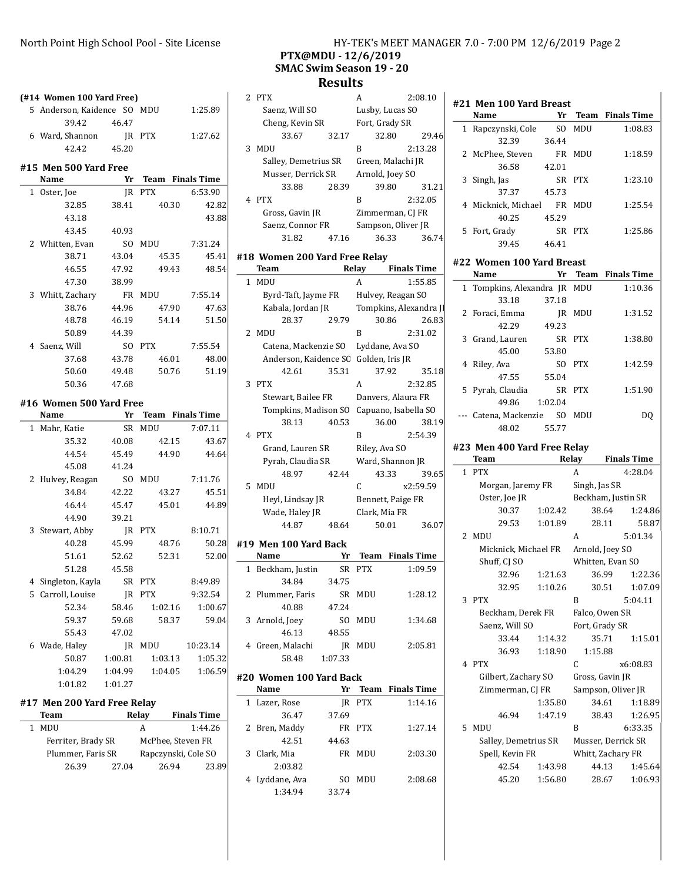(#14 Women 100 Yard Free)

### North Point High School Pool - Site License HY-TEK's MEET MANAGER 7.0 - 7:00 PM 12/6/2019 Page 2 PTX@MDU - 12/6/2019 SMAC Swim Season 19 - 20

#21 Men 100 Yard Breast

#### **Results**

|              | 5 Anderson, Kaidence SO MDU                           |         |                                       | 1:25.89  |
|--------------|-------------------------------------------------------|---------|---------------------------------------|----------|
|              | 39.42 46.47                                           |         |                                       |          |
|              | 6 Ward, Shannon                                       | JR PTX  |                                       | 1:27.62  |
|              | 42.42                                                 | 45.20   |                                       |          |
|              |                                                       |         |                                       |          |
|              | #15 Men 500 Yard Free<br>Name                         |         | Yr Team Finals Time                   |          |
|              | 1 Oster, Joe                                          |         | JR PTX                                | 6:53.90  |
|              | 32.85                                                 |         | 38.41 40.30                           | 42.82    |
|              | 43.18                                                 |         |                                       | 43.88    |
|              | 43.45                                                 | 40.93   |                                       |          |
|              | 2 Whitten, Evan                                       |         | SO MDU 7:31.24                        |          |
|              | 38.71                                                 | 43.04   | 45.35                                 | 45.41    |
|              | 46.55                                                 | 47.92   | 49.43                                 | 48.54    |
|              | 47.30                                                 | 38.99   |                                       |          |
|              | 3 Whitt, Zachary                                      |         | FR MDU                                | 7:55.14  |
|              | 38.76                                                 | 44.96   | 47.90                                 | 47.63    |
|              | 48.78                                                 |         | 46.19 54.14                           | 51.50    |
|              | 50.89                                                 | 44.39   |                                       |          |
|              | 4 Saenz, Will                                         |         | SO PTX                                | 7:55.54  |
|              | 37.68                                                 | 43.78   | 46.01                                 | 48.00    |
|              | 50.60                                                 |         | 49.48 50.76 51.19                     |          |
|              | 50.36                                                 | 47.68   |                                       |          |
|              |                                                       |         |                                       |          |
|              |                                                       |         |                                       |          |
|              | #16 Women 500 Yard Free                               |         |                                       |          |
|              | Name                                                  |         | <b>Example 18 Yr</b> Team Finals Time |          |
| $\mathbf{1}$ | Mahr, Katie                                           |         | SR MDU                                | 7:07.11  |
|              | 35.32                                                 | 40.08   | 42.15                                 | 43.67    |
|              | 44.54                                                 |         | 45.49 44.90                           | 44.64    |
|              | 45.08                                                 | 41.24   |                                       |          |
|              | 2 Hulvey, Reagan SO MDU 7:11.76<br>34.84              | 42.22   |                                       | 45.51    |
|              |                                                       |         | 43.27<br>46.44 45.47 45.01 44.89      |          |
|              | 44.90 39.21                                           |         |                                       |          |
|              |                                                       |         |                                       |          |
|              | 3 Stewart, Abby<br>40.28                              | 45.99   | JR PTX 8:10.71<br>48.76               | 50.28    |
|              | 51.61                                                 | 52.62   | 52.31                                 | 52.00    |
|              | 51.28                                                 | 45.58   |                                       |          |
|              |                                                       |         |                                       | 8:49.89  |
|              | 4 Singleton, Kayla SR PTX<br>5 Carroll, Louise JR PTX |         | JR PTX                                | 9:32.54  |
|              | 52.34                                                 | 58.46   | 1:02.16                               | 1:00.67  |
|              | 59.37                                                 | 59.68   | 58.37                                 | 59.04    |
|              | 55.43                                                 | 47.02   |                                       |          |
|              | 6 Wade, Haley                                         | JR      | MDU                                   | 10:23.14 |
|              | 50.87                                                 | 1:00.81 | 1:03.13                               | 1:05.32  |
|              | 1:04.29                                               | 1:04.99 | 1:04.05                               | 1:06.59  |
|              | 1:01.82                                               | 1:01.27 |                                       |          |

### #17 Men 200 Yard Free Relay

| Team               |       | Relay             | <b>Finals Time</b>  |         |
|--------------------|-------|-------------------|---------------------|---------|
| MDU                |       | А                 |                     | 1:44.26 |
| Ferriter, Brady SR |       | McPhee, Steven FR |                     |         |
| Plummer, Faris SR  |       |                   | Rapczynski, Cole SO |         |
| 26.39              | 27.04 | 26.94             |                     | 23.89   |

|   | <b>PTX</b>                          |       | А                  | 2:08.10 |
|---|-------------------------------------|-------|--------------------|---------|
|   | Saenz, Will SO                      |       | Lusby, Lucas SO    |         |
|   | Cheng, Kevin SR                     |       | Fort, Grady SR     |         |
|   | 33.67                               | 32.17 | 32.80              | 29.46   |
| 3 | MDU                                 |       | в                  | 2:13.28 |
|   | Salley, Demetrius SR                |       | Green, Malachi JR  |         |
|   | Musser, Derrick SR                  |       | Arnold, Joey SO    |         |
|   | 33.88                               | 28.39 | 39.80              | 31.21   |
| 4 | <b>PTX</b>                          |       | B                  | 2:32.05 |
|   | Gross, Gavin JR                     |       | Zimmerman, CJ FR   |         |
|   | Saenz, Connor FR                    |       | Sampson, Oliver JR |         |
|   | 31.82                               | 47.16 | 36.33              | 36.74   |
|   | <b>18 Women 200 Yard Free Relav</b> |       |                    |         |

# #18 Women 200 Yard Free Relay

| Team         |            |                       |       | Relay<br><b>Finals Time</b> |                    |                        |
|--------------|------------|-----------------------|-------|-----------------------------|--------------------|------------------------|
| $\mathbf{1}$ | MDU        |                       |       | A                           |                    | 1:55.85                |
|              |            | Byrd-Taft, Jayme FR   |       | Hulvey, Reagan SO           |                    |                        |
|              |            | Kabala, Jordan JR     |       |                             |                    | Tompkins, Alexandra JI |
|              |            | 28.37                 | 29.79 |                             | 30.86              | 26.83                  |
|              | 2 MDU      |                       |       | B                           |                    | 2:31.02                |
|              |            | Catena, Mackenzie SO  |       | Lyddane, Ava SO             |                    |                        |
|              |            | Anderson, Kaidence SC |       | Golden, Iris JR             |                    |                        |
|              |            | 42.61                 | 35.31 |                             | 37.92              | 35.18                  |
| 3            | <b>PTX</b> |                       |       | A                           |                    | 2:32.85                |
|              |            | Stewart, Bailee FR    |       |                             | Danvers, Alaura FR |                        |
|              |            | Tompkins, Madison SO  |       |                             |                    | Capuano, Isabella SO   |
|              |            | 38.13                 | 40.53 |                             | 36.00              | 38.19                  |
|              | 4 PTX      |                       |       | R                           |                    | 2:54.39                |
|              |            | Grand, Lauren SR      |       | Riley, Ava SO               |                    |                        |
|              |            | Pyrah, Claudia SR     |       | Ward, Shannon JR            |                    |                        |
|              |            | 48.97                 | 42.44 |                             | 43.33              | 39.65                  |
| 5.           | MDU        |                       |       | C                           |                    | x2:59.59               |
|              |            | Heyl, Lindsay JR      |       |                             | Bennett, Paige FR  |                        |
|              |            | Wade, Haley JR        |       | Clark, Mia FR               |                    |                        |
|              |            | 44.87                 | 48.64 |                             | 50.01              | 36.07                  |

#### #19 Men 100 Yard Back

| Name              | Yr      |     | <b>Team</b> Finals Time |
|-------------------|---------|-----|-------------------------|
| 1 Beckham, Justin | SR.     | PTX | 1:09.59                 |
| 34.84             | 34.75   |     |                         |
| 2 Plummer, Faris  | SR.     | MDU | 1:28.12                 |
| 40.88             | 47.24   |     |                         |
| 3 Arnold, Joey    | SΟ      | MDU | 1:34.68                 |
| 46.13             | 48.55   |     |                         |
| 4 Green, Malachi  | IR      | MDU | 2:05.81                 |
| 58.48             | 1:07.33 |     |                         |
|                   |         |     |                         |

# #20 Women 100 Yard Back

| Name           | Yr    |            | <b>Team</b> Finals Time |
|----------------|-------|------------|-------------------------|
| 1 Lazer, Rose  | IR    | <b>PTX</b> | 1:14.16                 |
| 36.47          | 37.69 |            |                         |
| 2 Bren, Maddy  | FR.   | <b>PTX</b> | 1:27.14                 |
| 42.51          | 44.63 |            |                         |
| 3 Clark, Mia   | FR.   | MDU        | 2:03.30                 |
| 2:03.82        |       |            |                         |
| 4 Lyddane, Ava | SΩ    | MDU        | 2:08.68                 |
| 1:34.94        | 33.74 |            |                         |

| 1 Rapczynski, Cole SO MDU    |        |        | 1:08.83             |
|------------------------------|--------|--------|---------------------|
| 32.39                        | 36.44  |        |                     |
| 2 McPhee, Steven FR MDU      |        |        | 1:18.59             |
| 36.58 42.01                  |        |        |                     |
| 3 Singh, Jas                 | SR PTX |        | 1:23.10             |
| 37.37 45.73                  |        |        |                     |
| 4 Micknick, Michael FR MDU   |        |        | 1:25.54             |
| 40.25 45.29                  |        |        |                     |
| 5 Fort, Grady SR PTX         |        |        | 1:25.86             |
| 39.45 46.41                  |        |        |                     |
| #22 Women 100 Yard Breast    |        |        |                     |
| Name                         |        |        | Yr Team Finals Time |
|                              |        |        |                     |
| 1 Tompkins, Alexandra JR MDU |        |        | 1:10.36             |
| 33.18                        | 37.18  |        |                     |
| 2 Foraci, Emma JR MDU        |        |        | 1:31.52             |
| 42.29                        | 49.23  |        |                     |
| 3 Grand, Lauren SR PTX       |        |        | 1:38.80             |
| 45.00 53.80                  |        |        |                     |
| 4 Riley, Ava                 |        | SO PTX | 1:42.59             |
| 47.55 55.04                  |        |        |                     |
| 5 Pyrah, Claudia SR PTX      |        |        | 1:51.90             |
| 49.86 1:02.04                |        |        |                     |
| --- Catena, Mackenzie SO MDU |        |        | DQ                  |

Name Yr Team Finals Time

#### #23 Men 400 Yard Free Relay

|               | Team                 |         | Relay              |       | <b>Finals Time</b> |
|---------------|----------------------|---------|--------------------|-------|--------------------|
| $\mathbf{1}$  | <b>PTX</b>           |         | A                  |       | 4:28.04            |
|               | Morgan, Jaremy FR    |         | Singh, Jas SR      |       |                    |
|               | Oster, Joe JR        |         | Beckham, Justin SR |       |                    |
|               | 30.37                | 1:02.42 |                    | 38.64 | 1:24.86            |
|               | 29.53                | 1:01.89 |                    | 28.11 | 58.87              |
| $\mathcal{L}$ | MDU                  |         | A                  |       | 5:01.34            |
|               | Micknick, Michael FR |         | Arnold, Joey SO    |       |                    |
|               | Shuff, CJ SO         |         | Whitten, Evan SO   |       |                    |
|               | 32.96                | 1:21.63 |                    | 36.99 | 1:22.36            |
|               | 32.95                | 1:10.26 |                    | 30.51 | 1:07.09            |
| 3             | <b>PTX</b>           |         | R                  |       | 5:04.11            |
|               | Beckham, Derek FR    |         | Falco, Owen SR     |       |                    |
|               | Saenz, Will SO       |         | Fort, Grady SR     |       |                    |
|               | 33.44                | 1:14.32 |                    | 35.71 | 1:15.01            |
|               | 36.93                | 1:18.90 | 1:15.88            |       |                    |
|               | 4 PTX                |         | C                  |       | x6:08.83           |
|               | Gilbert, Zachary SO  |         | Gross, Gavin JR    |       |                    |
|               | Zimmerman, CJ FR     |         | Sampson, Oliver JR |       |                    |
|               |                      | 1:35.80 |                    | 34.61 | 1:18.89            |
|               | 46.94                | 1:47.19 |                    | 38.43 | 1:26.95            |
| 5.            | <b>MDU</b>           |         | R                  |       | 6:33.35            |
|               | Salley, Demetrius SR |         | Musser, Derrick SR |       |                    |
|               | Spell, Kevin FR      |         | Whitt, Zachary FR  |       |                    |
|               | 42.54                | 1:43.98 |                    | 44.13 | 1:45.64            |
|               | 45.20                | 1:56.80 |                    | 28.67 | 1:06.93            |